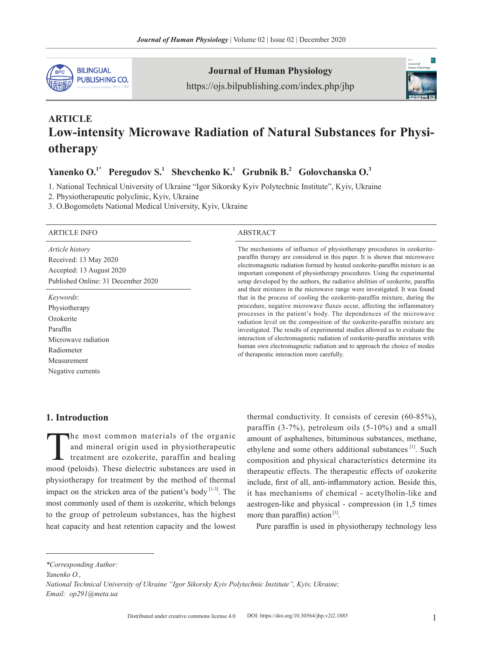

**Journal of Human Physiology**

https://ojs.bilpublishing.com/index.php/jhp



# **ARTICLE Low-intensity Microwave Radiation of Natural Substances for Physiotherapy**

# Yanenko O.<sup>1\*</sup> Peregudov S.<sup>1</sup> Shevchenko K.<sup>1</sup> Grubnik B.<sup>2</sup> Golovchanska O.<sup>3</sup>

1. National Technical University of Ukraine "Igor Sikorsky Kyiv Polytechnic Institute", Kyiv, Ukraine

2. Physiotherapeutic polyclinic, Kyiv, Ukraine

3. O.Bogomolets National Medical University, Kyiv, Ukraine

#### ARTICLE INFO ABSTRACT

*Article history* Received: 13 May 2020 Accepted: 13 August 2020 Published Online: 31 December 2020

*Keywords*: Physiotherapy Ozokerite Paraffin Microwave radiation Radiometer Measurement Negative currents

The mechanisms of influence of physiotherapy procedures in ozokeriteparaffin therapy are considered in this paper. It is shown that microwave electromagnetic radiation formed by heated ozokerite-paraffin mixture is an important component of physiotherapy procedures. Using the experimental setup developed by the authors, the radiative abilities of ozokerite, paraffin and their mixtures in the microwave range were investigated. It was found that in the process of cooling the ozokerite-paraffin mixture, during the procedure, negative microwave fluxes occur, affecting the inflammatory processes in the patient's body. The dependences of the microwave radiation level on the composition of the ozokerite-paraffin mixture are investigated. The results of experimental studies allowed us to evaluate the interaction of electromagnetic radiation of ozokerite-paraffin mixtures with human own electromagnetic radiation and to approach the choice of modes of therapeutic interaction more carefully.

#### **1. Introduction**

The most common materials of the organic<br>and mineral origin used in physiotherapeutic<br>treatment are ozokerite, paraffin and healing<br>mood (peloids). These dialectric substances are used in and mineral origin used in physiotherapeutic treatment are ozokerite, paraffin and healing mood (peloids). These dielectric substances are used in physiotherapy for treatment by the method of thermal impact on the stricken area of the patient's body  $[1-3]$ . The most commonly used of them is ozokerite, which belongs to the group of petroleum substances, has the highest heat capacity and heat retention capacity and the lowest

thermal conductivity. It consists of ceresin (60-85%), paraffin (3-7%), petroleum oils (5-10%) and a small amount of asphaltenes, bituminous substances, methane, ethylene and some others additional substances<sup>[1]</sup>. Such composition and physical characteristics determine its therapeutic effects. The therapeutic effects of ozokerite include, first of all, anti-inflammatory action. Beside this, it has mechanisms of chemical - acetylholin-like and aestrogen-like and physical - compression (in 1,5 times more than paraffin) action  $[3]$ .

Pure paraffin is used in physiotherapy technology less

*\*Corresponding Author:*

*Yanenko O.,* 

*National Technical University of Ukraine "Igor Sikorsky Kyiv Polytechnic Institute", Kyiv, Ukraine; Email: op291@meta.ua*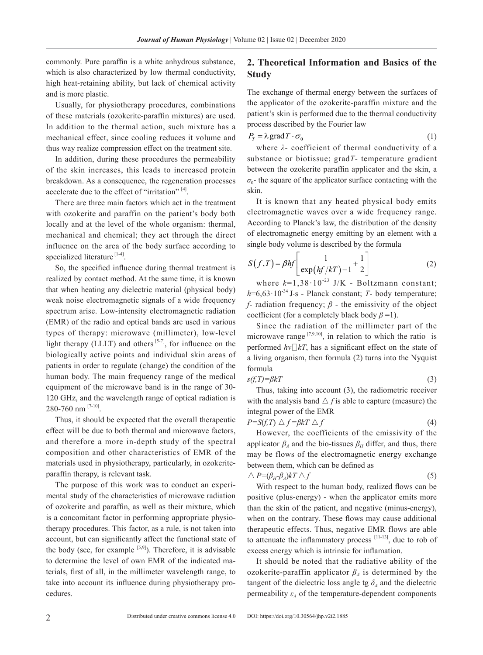commonly. Pure paraffin is a white anhydrous substance, which is also characterized by low thermal conductivity, high heat-retaining ability, but lack of chemical activity and is more plastic.

Usually, for physiotherapy procedures, combinations of these materials (ozokerite-paraffin mixtures) are used. In addition to the thermal action, such mixture has a mechanical effect, since cooling reduces it volume and thus way realize compression effect on the treatment site.

In addition, during these procedures the permeability of the skin increases, this leads to increased protein breakdown. As a consequence, the regeneration processes accelerate due to the effect of "irritation" [4].

There are three main factors which act in the treatment with ozokerite and paraffin on the patient's body both locally and at the level of the whole organism: thermal, mechanical and chemical; they act through the direct influence on the area of the body surface according to specialized literature<sup>[1-4]</sup>.

So, the specified influence during thermal treatment is realized by contact method. At the same time, it is known that when heating any dielectric material (physical body) weak noise electromagnetic signals of a wide frequency spectrum arise. Low-intensity electromagnetic radiation (EMR) of the radio and optical bands are used in various types of therapy: microwave (millimeter), low-level light therapy (LLLT) and others  $[5-7]$ , for influence on the biologically active points and individual skin areas of patients in order to regulate (change) the condition of the human body. The main frequency range of the medical equipment of the microwave band is in the range of 30- 120 GHz, and the wavelength range of optical radiation is 280-760 nm [7-10].

Thus, it should be expected that the overall therapeutic effect will be due to both thermal and microwave factors, and therefore a more in-depth study of the spectral composition and other characteristics of EMR of the materials used in physiotherapy, particularly, in ozokeriteparaffin therapy, is relevant task.

The purpose of this work was to conduct an experimental study of the characteristics of microwave radiation of ozokerite and paraffin, as well as their mixture, which is a concomitant factor in performing appropriate physiotherapy procedures. This factor, as a rule, is not taken into account, but can significantly affect the functional state of the body (see, for example  $[5,9]$ ). Therefore, it is advisable to determine the level of own EMR of the indicated materials, first of all, in the millimeter wavelength range, to take into account its influence during physiotherapy procedures.

# **2. Theoretical Information and Basics of the Study**

The exchange of thermal energy between the surfaces of the applicator of the ozokerite-paraffin mixture and the patient's skin is performed due to the thermal conductivity process described by the Fourier law

$$
P_T = \lambda \operatorname{grad} T \cdot \sigma_0 \tag{1}
$$

where *λ*- coefficient of thermal conductivity of a substance or biotissue; grad*T*- temperature gradient between the ozokerite paraffin applicator and the skin, а  $\sigma_0$ - the square of the applicator surface contacting with the skin.

It is known that any heated physical body emits electromagnetic waves over a wide frequency range. According to Planck's law, the distribution of the density of electromagnetic energy emitting by an element with a single body volume is described by the formula

$$
S(f,T) = \beta hf \left[ \frac{1}{\exp\left(hf/kT\right) - 1} + \frac{1}{2} \right] \tag{2}
$$
  
where  $k=1,38 \cdot 10^{-23}$  J/K - Boltzmann constant;

 $h=6,63\cdot10^{-34}$  J⋅s - Planck constant; *T*- body temperature; *f*- radiation frequency; *β* - the emissivity of the object coefficient (for a completely black body  $\beta$  =1).

Since the radiation of the millimeter part of the microwave range  $[7,9,10]$ , in relation to which the ratio is performed  $hv\Box kT$ , has a significant effect on the state of a living organism, then formula (2) turns into the Nyquist formula

$$
s(f,T) = \beta kT \tag{3}
$$

Thus, taking into account (3), the radiometric receiver with the analysis band  $\triangle f$  *f* is able to capture (measure) the integral power of the EMR

$$
P = S(f,T) \triangle f = \beta kT \triangle f \tag{4}
$$

However, the coefficients of the emissivity of the applicator  $\beta_A$  and the bio-tissues  $\beta_H$  differ, and thus, there may be flows of the electromagnetic energy exchange between them, which can be defined as

$$
\Delta P = (\beta_H \beta_A) kT \Delta f \tag{5}
$$

With respect to the human body, realized flows can be positive (plus-energy) - when the applicator emits more than the skin of the patient, and negative (minus-energy), when on the contrary. These flows may cause additional therapeutic effects. Thus, negative EMR flows are able to attenuate the inflammatory process  $[11-13]$ , due to rob of excess energy which is intrinsic for inflamation.

It should be noted that the radiative ability of the ozokerite-paraffin applicator  $\beta_A$  is determined by the tangent of the dielectric loss angle tg  $\delta_A$  and the dielectric permeability  $\varepsilon_A$  of the temperature-dependent components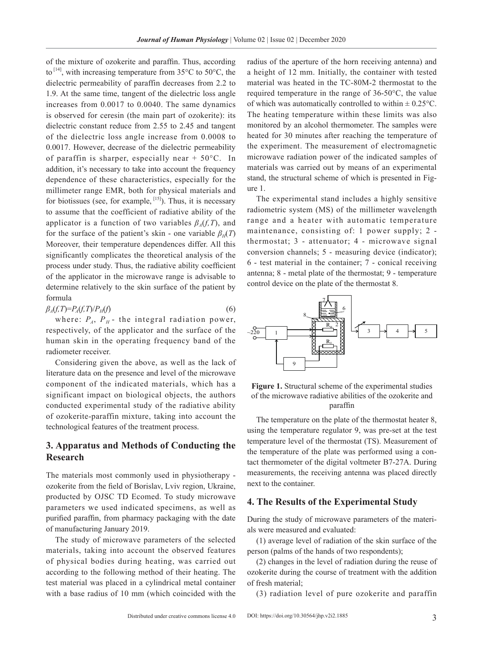of the mixture of ozokerite and paraffin. Thus, according to  $^{[14]}$ , with increasing temperature from 35 $^{\circ}$ C to 50 $^{\circ}$ C, the dielectric permeability of paraffin decreases from 2.2 to 1.9. At the same time, tangent of the dielectric loss angle increases from 0.0017 to 0.0040. The same dynamics is observed for ceresin (the main part of ozokerite): its dielectric constant reduce from 2.55 to 2.45 and tangent of the dielectric loss angle increase from 0.0008 to 0.0017. However, decrease of the dielectric permeability of paraffin is sharper, especially near  $+ 50^{\circ}$ C. In addition, it's necessary to take into account the frequency dependence of these characteristics, especially for the millimeter range EMR, both for physical materials and for biotissues (see, for example,  $[15]$ ). Thus, it is necessary to assume that the coefficient of radiative ability of the applicator is a function of two variables  $\beta_A(f,T)$ , and for the surface of the patient's skin - one variable  $\beta_H(T)$ Moreover, their temperature dependences differ. All this significantly complicates the theoretical analysis of the process under study. Thus, the radiative ability coefficient of the applicator in the microwave range is advisable to determine relatively to the skin surface of the patient by formula

 $\beta_A(f,T)=P_A(f,T)/P_H(f)$  (6)

where:  $P_A$ ,  $P_H$ - the integral radiation power, respectively, of the applicator and the surface of the human skin in the operating frequency band of the radiometer receiver.

Considering given the above, as well as the lack of literature data on the presence and level of the microwave component of the indicated materials, which has a significant impact on biological objects, the authors conducted experimental study of the radiative ability of ozokerite-paraffin mixture, taking into account the technological features of the treatment process.

## **3. Apparatus and Methods of Conducting the Research**

The materials most commonly used in physiotherapy ozokerite from the field of Borislav, Lviv region, Ukraine, producted by OJSC TD Ecomed. To study microwave parameters we used indicated specimens, as well as purified paraffin, from pharmacy packaging with the date of manufacturing January 2019.

The study of microwave parameters of the selected materials, taking into account the observed features of physical bodies during heating, was carried out according to the following method of their heating. The test material was placed in a cylindrical metal container with a base radius of 10 mm (which coincided with the

radius of the aperture of the horn receiving antenna) and a height of 12 mm. Initially, the container with tested material was heated in the TC-80M-2 thermostat to the required temperature in the range of 36-50°C, the value of which was automatically controlled to within  $\pm$  0.25 $\degree$ C. The heating temperature within these limits was also monitored by an alcohol thermometer. The samples were heated for 30 minutes after reaching the temperature of the experiment. The measurement of electromagnetic microwave radiation power of the indicated samples of materials was carried out by means of an experimental stand, the structural scheme of which is presented in Figure 1.

The experimental stand includes a highly sensitive radiometric system (MS) of the millimeter wavelength range and a heater with automatic temperature maintenance, consisting of: 1 power supply; 2 thermostat; 3 - attenuator; 4 - microwave signal conversion channels; 5 - measuring device (indicator); 6 - test material in the container; 7 - conical receiving antenna; 8 - metal plate of the thermostat; 9 - temperature control device on the plate of the thermostat 8.





The temperature on the plate of the thermostat heater 8, using the temperature regulator 9, was pre-set at the test temperature level of the thermostat (TS). Measurement of the temperature of the plate was performed using a contact thermometer of the digital voltmeter B7-27A. During measurements, the receiving antenna was placed directly next to the container.

#### **4. The Results of the Experimental Study**

During the study of microwave parameters of the materials were measured and evaluated:

(1) average level of radiation of the skin surface of the person (palms of the hands of two respondents);

(2) changes in the level of radiation during the reuse of ozokerite during the course of treatment with the addition of fresh material;

(3) radiation level of pure ozokerite and paraffin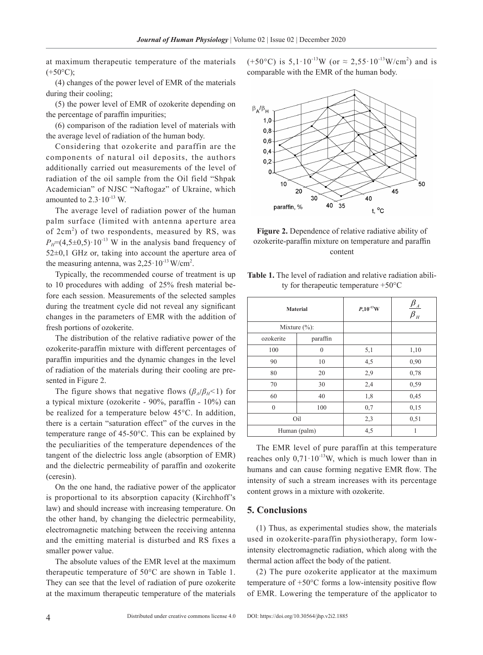at maximum therapeutic temperature of the materials  $(+50^{\circ}C)$ ;

(4) changes of the power level of EMR of the materials during their cooling;

(5) the power level of EMR of ozokerite depending on the percentage of paraffin impurities;

(6) comparison of the radiation level of materials with the average level of radiation of the human body.

Considering that ozokerite and paraffin are the components of natural oil deposits, the authors additionally carried out measurements of the level of radiation of the oil sample from the Oil field "Shpak Academician" of NJSC "Naftogaz" of Ukraine, which amounted to  $2.3 \cdot 10^{-13}$  W.

The average level of radiation power of the human palm surface (limited with antenna aperture area of 2cm<sup>2</sup>) of two respondents, measured by RS, was  $P<sub>H</sub>=(4,5\pm0,5)\cdot10^{-13}$  W in the analysis band frequency of 52±0,1 GHz or, taking into account the aperture area of the measuring antenna, was  $2,25 \cdot 10^{-13}$  W/cm<sup>2</sup>.

Typically, the recommended course of treatment is up to 10 procedures with adding of 25% fresh material before each session. Measurements of the selected samples during the treatment cycle did not reveal any significant changes in the parameters of EMR with the addition of fresh portions of ozokerite.

The distribution of the relative radiative power of the ozokerite-paraffin mixture with different percentages of paraffin impurities and the dynamic changes in the level of radiation of the materials during their cooling are presented in Figure 2.

The figure shows that negative flows  $(\beta_A/\beta_B<1)$  for a typical mixture (ozokerite - 90%, paraffin - 10%) can be realized for a temperature below 45°C. In addition, there is a certain "saturation effect" of the curves in the temperature range of 45-50°C. This can be explained by the peculiarities of the temperature dependences of the tangent of the dielectric loss angle (absorption of EMR) and the dielectric permeability of paraffin and ozokerite (ceresin).

On the one hand, the radiative power of the applicator is proportional to its absorption capacity (Kirchhoff's law) and should increase with increasing temperature. On the other hand, by changing the dielectric permeability, electromagnetic matching between the receiving antenna and the emitting material is disturbed and RS fixes a smaller power value.

The absolute values of the EMR level at the maximum therapeutic temperature of 50°C are shown in Table 1. They can see that the level of radiation of pure ozokerite at the maximum therapeutic temperature of the materials

 $(+50^{\circ}$ C) is  $5,1 \cdot 10^{13}$ W (or  $\approx 2,55 \cdot 10^{13}$ W/cm<sup>2</sup>) and is comparable with the EMR of the human body.



**Figure 2.** Dependence of relative radiative ability of ozokerite-paraffin mixture on temperature and paraffin content

|  | <b>Table 1.</b> The level of radiation and relative radiation abili- |  |  |
|--|----------------------------------------------------------------------|--|--|
|  | ty for the rapeutic temperature $+50^{\circ}$ C                      |  |  |

|                   | <b>Material</b> | $P, 10^{-13}$ W | $\pmb{\beta}_\text{\tiny A}$<br>$\overline{\overline{\beta_{\scriptscriptstyle H}}}$ |  |
|-------------------|-----------------|-----------------|--------------------------------------------------------------------------------------|--|
| Mixture $(\% )$ : |                 |                 |                                                                                      |  |
| ozokerite         | paraffin        |                 |                                                                                      |  |
| 100               | $\theta$        | 5,1             | 1,10                                                                                 |  |
| 90                | 10              | 4,5             | 0,90                                                                                 |  |
| 80                | 20              | 2,9             | 0,78                                                                                 |  |
| 70                | 30              | 2,4             | 0,59                                                                                 |  |
| 60                | 40              | 1,8             | 0,45                                                                                 |  |
| $\mathbf{0}$      | 100             | 0,7             | 0,15                                                                                 |  |
|                   | Oil             | 2,3             | 0,51                                                                                 |  |
| Human (palm)      |                 | 4,5             | 1                                                                                    |  |

The EMR level of pure paraffin at this temperature reaches only  $0.71 \cdot 10^{-13}$ W, which is much lower than in humans and can cause forming negative EMR flow. The intensity of such a stream increases with its percentage content grows in a mixture with ozokerite.

## **5. Conclusions**

(1) Thus, as experimental studies show, the materials used in ozokerite-paraffin physiotherapy, form lowintensity electromagnetic radiation, which along with the thermal action affect the body of the patient.

(2) The pure ozokerite applicator at the maximum temperature of +50°C forms a low-intensity positive flow of EMR. Lowering the temperature of the applicator to